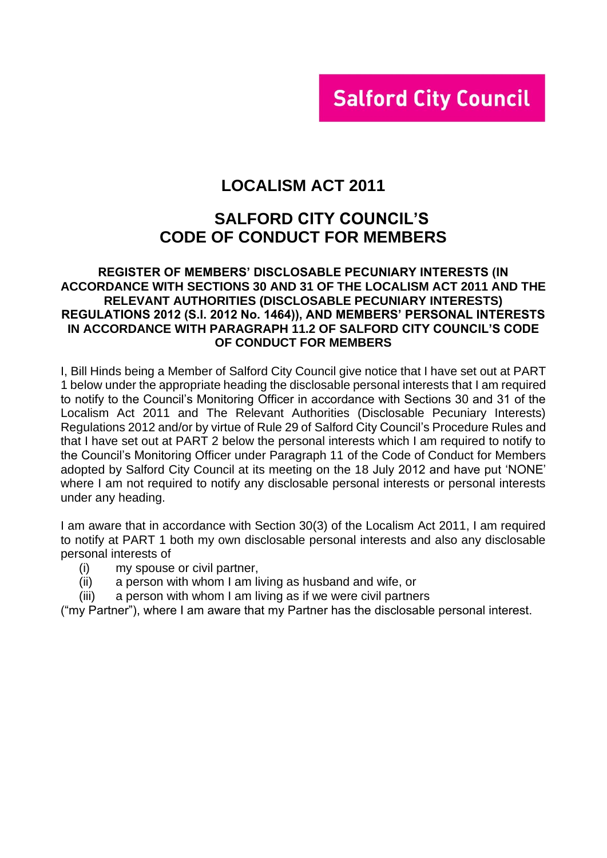# **Salford City Council**

# **LOCALISM ACT 2011**

### **SALFORD CITY COUNCIL'S CODE OF CONDUCT FOR MEMBERS**

#### **REGISTER OF MEMBERS' DISCLOSABLE PECUNIARY INTERESTS (IN ACCORDANCE WITH SECTIONS 30 AND 31 OF THE LOCALISM ACT 2011 AND THE RELEVANT AUTHORITIES (DISCLOSABLE PECUNIARY INTERESTS) REGULATIONS 2012 (S.I. 2012 No. 1464)), AND MEMBERS' PERSONAL INTERESTS IN ACCORDANCE WITH PARAGRAPH 11.2 OF SALFORD CITY COUNCIL'S CODE OF CONDUCT FOR MEMBERS**

I, Bill Hinds being a Member of Salford City Council give notice that I have set out at PART 1 below under the appropriate heading the disclosable personal interests that I am required to notify to the Council's Monitoring Officer in accordance with Sections 30 and 31 of the Localism Act 2011 and The Relevant Authorities (Disclosable Pecuniary Interests) Regulations 2012 and/or by virtue of Rule 29 of Salford City Council's Procedure Rules and that I have set out at PART 2 below the personal interests which I am required to notify to the Council's Monitoring Officer under Paragraph 11 of the Code of Conduct for Members adopted by Salford City Council at its meeting on the 18 July 2012 and have put 'NONE' where I am not required to notify any disclosable personal interests or personal interests under any heading.

I am aware that in accordance with Section 30(3) of the Localism Act 2011, I am required to notify at PART 1 both my own disclosable personal interests and also any disclosable personal interests of

- (i) my spouse or civil partner,
- (ii) a person with whom I am living as husband and wife, or
- (iii) a person with whom I am living as if we were civil partners

("my Partner"), where I am aware that my Partner has the disclosable personal interest.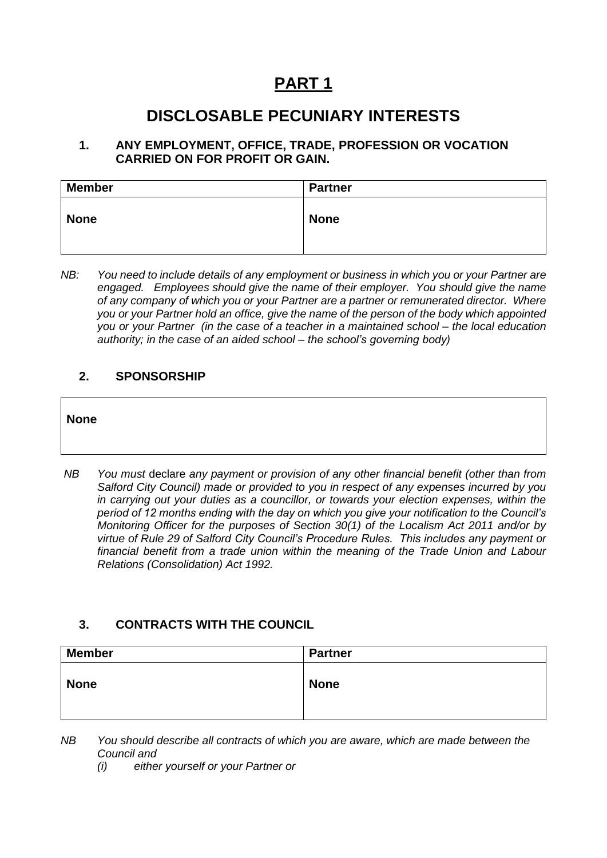# **PART 1**

# **DISCLOSABLE PECUNIARY INTERESTS**

#### **1. ANY EMPLOYMENT, OFFICE, TRADE, PROFESSION OR VOCATION CARRIED ON FOR PROFIT OR GAIN.**

| <b>Member</b> | <b>Partner</b> |
|---------------|----------------|
| <b>None</b>   | <b>None</b>    |

*NB: You need to include details of any employment or business in which you or your Partner are engaged. Employees should give the name of their employer. You should give the name of any company of which you or your Partner are a partner or remunerated director. Where you or your Partner hold an office, give the name of the person of the body which appointed you or your Partner (in the case of a teacher in a maintained school – the local education authority; in the case of an aided school – the school's governing body)*

#### **2. SPONSORSHIP**

#### **None**

*NB You must* declare *any payment or provision of any other financial benefit (other than from Salford City Council) made or provided to you in respect of any expenses incurred by you in carrying out your duties as a councillor, or towards your election expenses, within the period of 12 months ending with the day on which you give your notification to the Council's Monitoring Officer for the purposes of Section 30(1) of the Localism Act 2011 and/or by virtue of Rule 29 of Salford City Council's Procedure Rules. This includes any payment or financial benefit from a trade union within the meaning of the Trade Union and Labour Relations (Consolidation) Act 1992.* 

### **3. CONTRACTS WITH THE COUNCIL**

| <b>Member</b> | Partner     |
|---------------|-------------|
| <b>None</b>   | <b>None</b> |

*NB You should describe all contracts of which you are aware, which are made between the Council and* 

*(i) either yourself or your Partner or*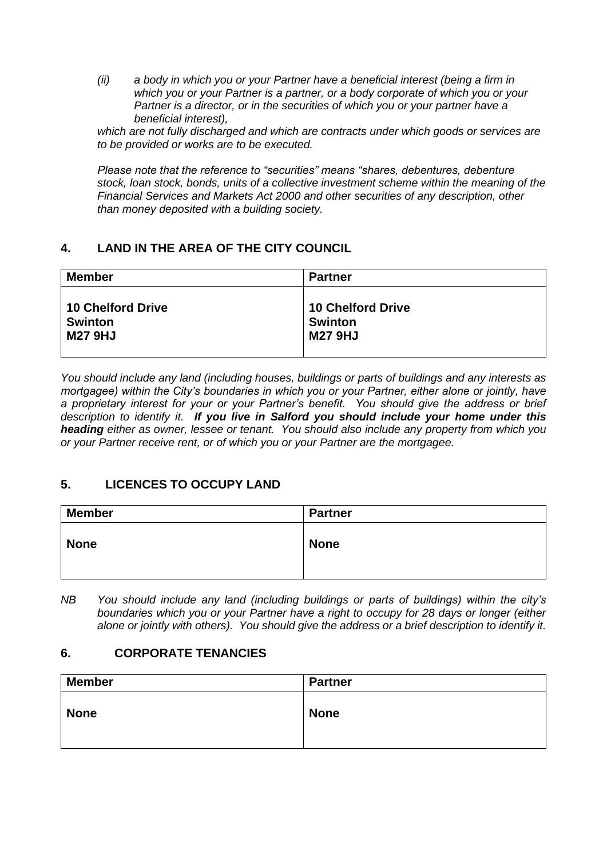*(ii) a body in which you or your Partner have a beneficial interest (being a firm in which you or your Partner is a partner, or a body corporate of which you or your Partner is a director, or in the securities of which you or your partner have a beneficial interest),* 

*which are not fully discharged and which are contracts under which goods or services are to be provided or works are to be executed.*

*Please note that the reference to "securities" means "shares, debentures, debenture stock, loan stock, bonds, units of a collective investment scheme within the meaning of the Financial Services and Markets Act 2000 and other securities of any description, other than money deposited with a building society.*

### **4. LAND IN THE AREA OF THE CITY COUNCIL**

| <b>Member</b>     | <b>Partner</b>           |
|-------------------|--------------------------|
| 10 Chelford Drive | <b>10 Chelford Drive</b> |
| <b>Swinton</b>    | <b>Swinton</b>           |
| <b>M27 9HJ</b>    | <b>M27 9HJ</b>           |

*You should include any land (including houses, buildings or parts of buildings and any interests as mortgagee) within the City's boundaries in which you or your Partner, either alone or jointly, have a proprietary interest for your or your Partner's benefit. You should give the address or brief description to identify it. If you live in Salford you should include your home under this heading either as owner, lessee or tenant. You should also include any property from which you or your Partner receive rent, or of which you or your Partner are the mortgagee.*

### **5. LICENCES TO OCCUPY LAND**

| <b>Member</b> | Partner     |
|---------------|-------------|
| <b>None</b>   | <b>None</b> |

*NB You should include any land (including buildings or parts of buildings) within the city's boundaries which you or your Partner have a right to occupy for 28 days or longer (either alone or jointly with others). You should give the address or a brief description to identify it.*

### **6. CORPORATE TENANCIES**

| <b>Member</b> | <b>Partner</b> |
|---------------|----------------|
| <b>None</b>   | <b>None</b>    |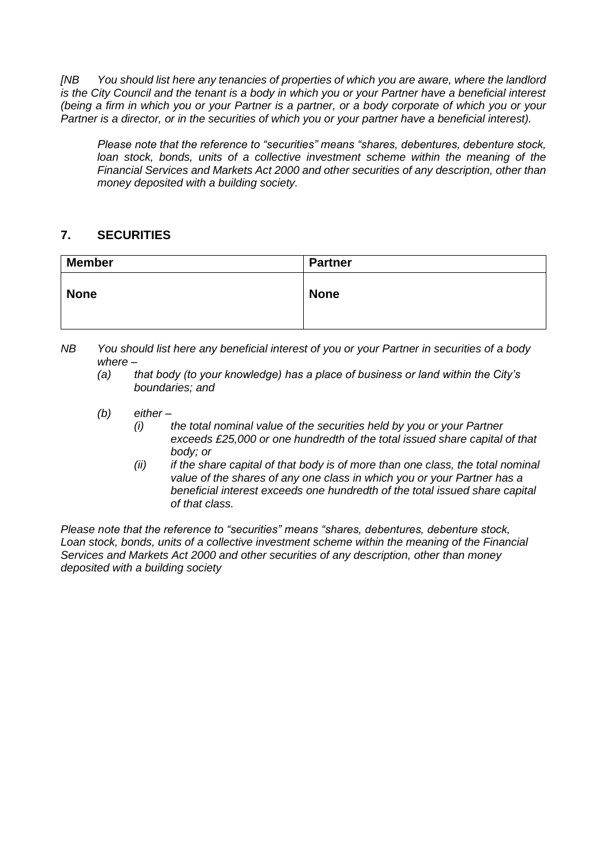*[NB You should list here any tenancies of properties of which you are aware, where the landlord is the City Council and the tenant is a body in which you or your Partner have a beneficial interest (being a firm in which you or your Partner is a partner, or a body corporate of which you or your Partner is a director, or in the securities of which you or your partner have a beneficial interest).* 

*Please note that the reference to "securities" means "shares, debentures, debenture stock, loan stock, bonds, units of a collective investment scheme within the meaning of the Financial Services and Markets Act 2000 and other securities of any description, other than money deposited with a building society.*

### **7. SECURITIES**

| <b>Member</b> | <b>Partner</b> |
|---------------|----------------|
| <b>None</b>   | <b>None</b>    |

- *NB You should list here any beneficial interest of you or your Partner in securities of a body where –*
	- *(a) that body (to your knowledge) has a place of business or land within the City's boundaries; and*
	- *(b) either –*
		- *(i) the total nominal value of the securities held by you or your Partner exceeds £25,000 or one hundredth of the total issued share capital of that body; or*
		- *(ii) if the share capital of that body is of more than one class, the total nominal value of the shares of any one class in which you or your Partner has a beneficial interest exceeds one hundredth of the total issued share capital of that class.*

*Please note that the reference to "securities" means "shares, debentures, debenture stock, Loan stock, bonds, units of a collective investment scheme within the meaning of the Financial Services and Markets Act 2000 and other securities of any description, other than money deposited with a building society*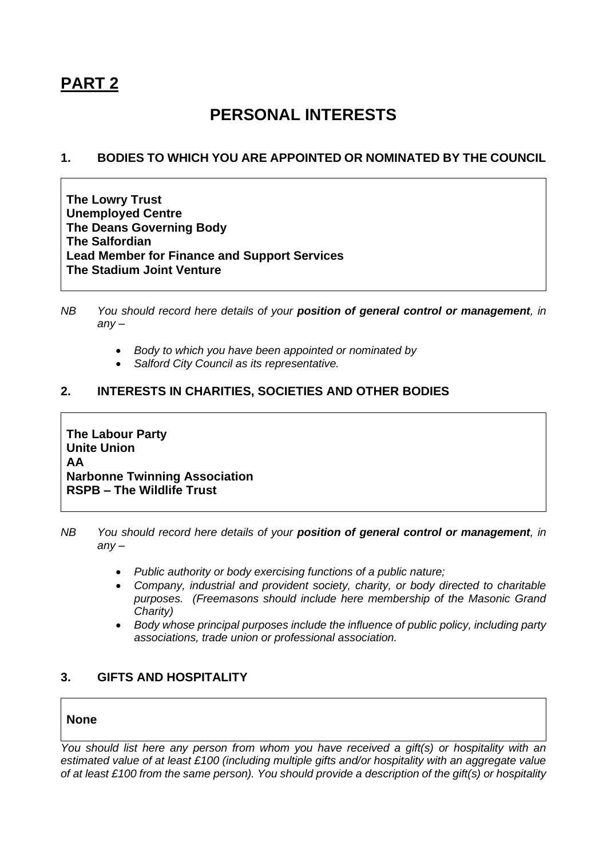# **PART 2**

# **PERSONAL INTERESTS**

#### **1. BODIES TO WHICH YOU ARE APPOINTED OR NOMINATED BY THE COUNCIL**

**The Lowry Trust Unemployed Centre The Deans Governing Body The Salfordian Lead Member for Finance and Support Services The Stadium Joint Venture**

- *NB You should record here details of your position of general control or management, in any –*
	- *Body to which you have been appointed or nominated by*
	- *Salford City Council as its representative.*

#### **2. INTERESTS IN CHARITIES, SOCIETIES AND OTHER BODIES**

**The Labour Party Unite Union AA Narbonne Twinning Association RSPB – The Wildlife Trust**

*NB You should record here details of your position of general control or management, in any –*

- *Public authority or body exercising functions of a public nature;*
- *Company, industrial and provident society, charity, or body directed to charitable purposes. (Freemasons should include here membership of the Masonic Grand Charity)*
- *Body whose principal purposes include the influence of public policy, including party associations, trade union or professional association.*

### **3. GIFTS AND HOSPITALITY**

#### **None**

*You should list here any person from whom you have received a gift(s) or hospitality with an estimated value of at least £100 (including multiple gifts and/or hospitality with an aggregate value of at least £100 from the same person). You should provide a description of the gift(s) or hospitality*